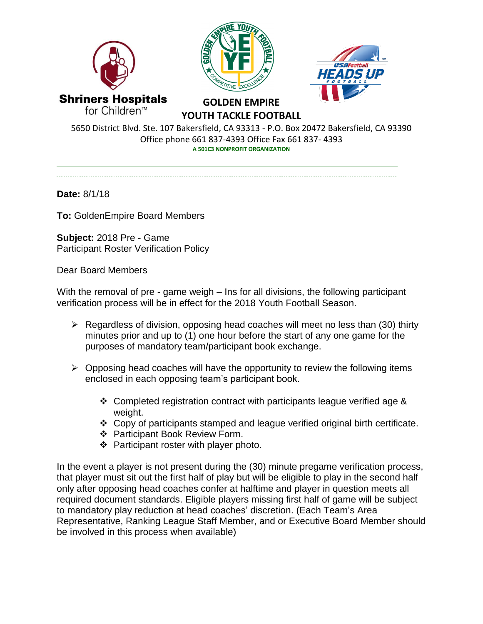





**GOLDEN EMPIRE YOUTH TACKLE FOOTBALL**

5650 District Blvd. Ste. 107 Bakersfield, CA 93313 - P.O. Box 20472 Bakersfield, CA 93390 Office phone 661 837-4393 Office Fax 661 837- 4393 **A 501C3 NONPROFIT ORGANIZATION**

**Date:** 8/1/18

**To:** GoldenEmpire Board Members

**Subject:** 2018 Pre - Game Participant Roster Verification Policy

Dear Board Members

With the removal of pre - game weigh – Ins for all divisions, the following participant verification process will be in effect for the 2018 Youth Football Season.

- ➢ Regardless of division, opposing head coaches will meet no less than (30) thirty minutes prior and up to (1) one hour before the start of any one game for the purposes of mandatory team/participant book exchange.
- $\triangleright$  Opposing head coaches will have the opportunity to review the following items enclosed in each opposing team's participant book.
	- ❖ Completed registration contract with participants league verified age & weight.
	- ❖ Copy of participants stamped and league verified original birth certificate.
	- ❖ Participant Book Review Form.
	- ❖ Participant roster with player photo.

In the event a player is not present during the (30) minute pregame verification process, that player must sit out the first half of play but will be eligible to play in the second half only after opposing head coaches confer at halftime and player in question meets all required document standards. Eligible players missing first half of game will be subject to mandatory play reduction at head coaches' discretion. (Each Team's Area Representative, Ranking League Staff Member, and or Executive Board Member should be involved in this process when available)